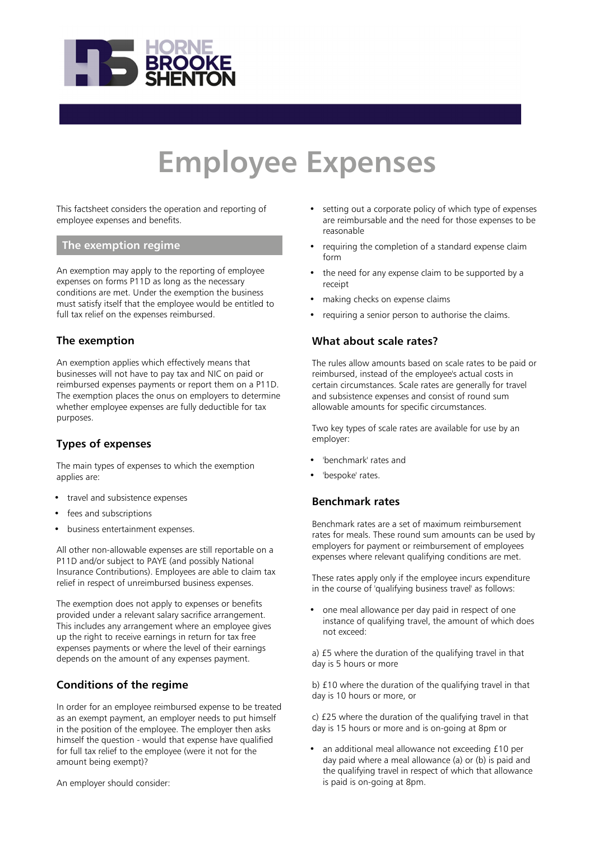

# **Employee Expenses**

This factsheet considers the operation and reporting of employee expenses and benefits.

# **The exemption regime**

An exemption may apply to the reporting of employee expenses on forms P11D as long as the necessary conditions are met. Under the exemption the business must satisfy itself that the employee would be entitled to full tax relief on the expenses reimbursed.

# **The exemption**

An exemption applies which effectively means that businesses will not have to pay tax and NIC on paid or reimbursed expenses payments or report them on a P11D. The exemption places the onus on employers to determine whether employee expenses are fully deductible for tax purposes.

# **Types of expenses**

The main types of expenses to which the exemption applies are:

- travel and subsistence expenses
- fees and subscriptions
- business entertainment expenses.

All other non-allowable expenses are still reportable on a P11D and/or subject to PAYE (and possibly National Insurance Contributions). Employees are able to claim tax relief in respect of unreimbursed business expenses.

The exemption does not apply to expenses or benefits provided under a relevant salary sacrifice arrangement. This includes any arrangement where an employee gives up the right to receive earnings in return for tax free expenses payments or where the level of their earnings depends on the amount of any expenses payment.

# **Conditions of the regime**

In order for an employee reimbursed expense to be treated as an exempt payment, an employer needs to put himself in the position of the employee. The employer then asks himself the question - would that expense have qualified for full tax relief to the employee (were it not for the amount being exempt)?

An employer should consider:

- setting out a corporate policy of which type of expenses are reimbursable and the need for those expenses to be reasonable
- requiring the completion of a standard expense claim form
- the need for any expense claim to be supported by a receipt
- making checks on expense claims
- requiring a senior person to authorise the claims.

## **What about scale rates?**

The rules allow amounts based on scale rates to be paid or reimbursed, instead of the employee's actual costs in certain circumstances. Scale rates are generally for travel and subsistence expenses and consist of round sum allowable amounts for specific circumstances.

Two key types of scale rates are available for use by an employer:

- 'benchmark' rates and
- 'bespoke' rates.

#### **Benchmark rates**

Benchmark rates are a set of maximum reimbursement rates for meals. These round sum amounts can be used by employers for payment or reimbursement of employees expenses where relevant qualifying conditions are met.

These rates apply only if the employee incurs expenditure in the course of 'qualifying business travel' as follows:

one meal allowance per day paid in respect of one instance of qualifying travel, the amount of which does not exceed:

a) £5 where the duration of the qualifying travel in that day is 5 hours or more

b) £10 where the duration of the qualifying travel in that day is 10 hours or more, or

c) £25 where the duration of the qualifying travel in that day is 15 hours or more and is on-going at 8pm or

• an additional meal allowance not exceeding £10 per day paid where a meal allowance (a) or (b) is paid and the qualifying travel in respect of which that allowance is paid is on-going at 8pm.